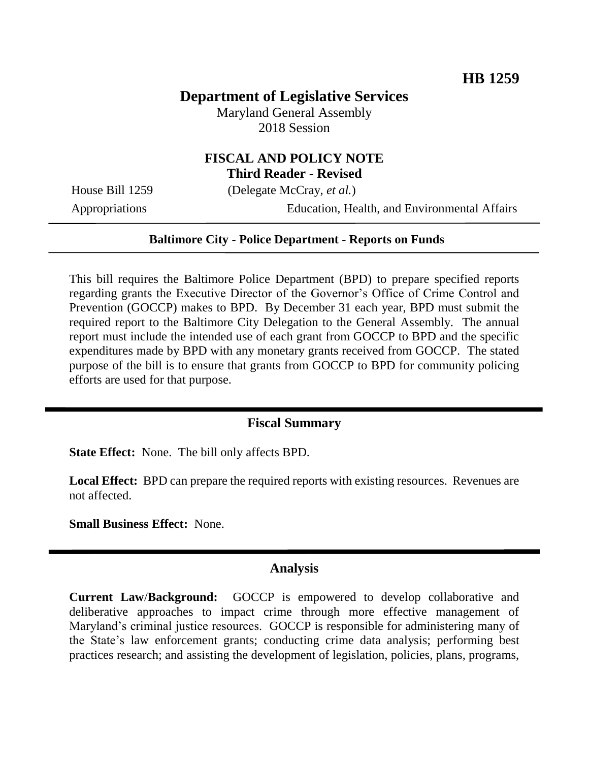# **Department of Legislative Services**

Maryland General Assembly 2018 Session

## **FISCAL AND POLICY NOTE Third Reader - Revised**

House Bill 1259 (Delegate McCray, *et al.*)

Appropriations Education, Health, and Environmental Affairs

#### **Baltimore City - Police Department - Reports on Funds**

This bill requires the Baltimore Police Department (BPD) to prepare specified reports regarding grants the Executive Director of the Governor's Office of Crime Control and Prevention (GOCCP) makes to BPD. By December 31 each year, BPD must submit the required report to the Baltimore City Delegation to the General Assembly. The annual report must include the intended use of each grant from GOCCP to BPD and the specific expenditures made by BPD with any monetary grants received from GOCCP. The stated purpose of the bill is to ensure that grants from GOCCP to BPD for community policing efforts are used for that purpose.

#### **Fiscal Summary**

**State Effect:** None. The bill only affects BPD.

**Local Effect:** BPD can prepare the required reports with existing resources. Revenues are not affected.

**Small Business Effect:** None.

#### **Analysis**

**Current Law**/**Background:** GOCCP is empowered to develop collaborative and deliberative approaches to impact crime through more effective management of Maryland's criminal justice resources. GOCCP is responsible for administering many of the State's law enforcement grants; conducting crime data analysis; performing best practices research; and assisting the development of legislation, policies, plans, programs,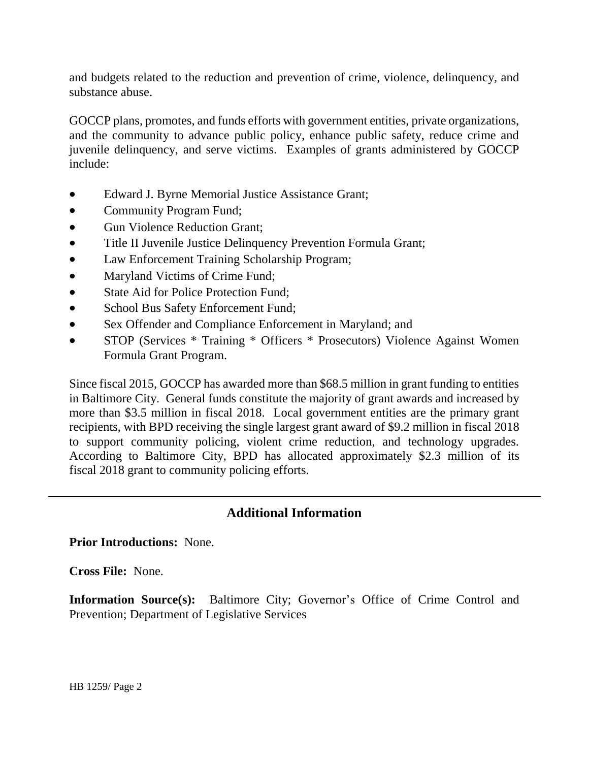and budgets related to the reduction and prevention of crime, violence, delinquency, and substance abuse.

GOCCP plans, promotes, and funds efforts with government entities, private organizations, and the community to advance public policy, enhance public safety, reduce crime and juvenile delinquency, and serve victims. Examples of grants administered by GOCCP include:

- Edward J. Byrne Memorial Justice Assistance Grant;
- Community Program Fund;
- Gun Violence Reduction Grant:
- Title II Juvenile Justice Delinquency Prevention Formula Grant;
- Law Enforcement Training Scholarship Program;
- Maryland Victims of Crime Fund;
- State Aid for Police Protection Fund:
- School Bus Safety Enforcement Fund;
- Sex Offender and Compliance Enforcement in Maryland; and
- STOP (Services \* Training \* Officers \* Prosecutors) Violence Against Women Formula Grant Program.

Since fiscal 2015, GOCCP has awarded more than \$68.5 million in grant funding to entities in Baltimore City. General funds constitute the majority of grant awards and increased by more than \$3.5 million in fiscal 2018. Local government entities are the primary grant recipients, with BPD receiving the single largest grant award of \$9.2 million in fiscal 2018 to support community policing, violent crime reduction, and technology upgrades. According to Baltimore City, BPD has allocated approximately \$2.3 million of its fiscal 2018 grant to community policing efforts.

## **Additional Information**

#### **Prior Introductions:** None.

**Cross File:** None.

**Information Source(s):** Baltimore City; Governor's Office of Crime Control and Prevention; Department of Legislative Services